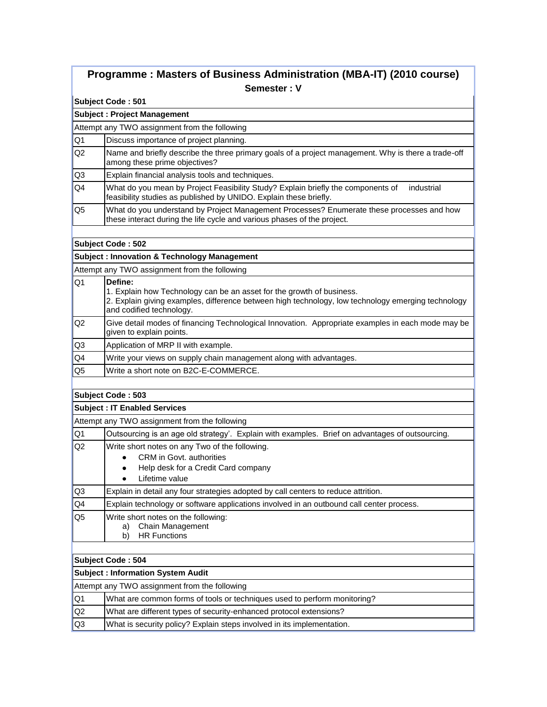# **Programme : Masters of Business Administration (MBA-IT) (2010 course) Semester : V**

#### **Subject Code : 501**

# **Subject : Project Management**

Attempt any TWO assignment from the following

- Q1 Discuss importance of project planning.
- Q2 Name and briefly describe the three primary goals of a project management. Why is there a trade-off among these prime objectives?
- Q3 Explain financial analysis tools and techniques.
- Q4 What do you mean by Project Feasibility Study? Explain briefly the components of industrial feasibility studies as published by UNIDO. Explain these briefly.
- Q5 What do you understand by Project Management Processes? Enumerate these processes and how these interact during the life cycle and various phases of the project.

#### **Subject Code : 502**

#### **Subject : Innovation & Technology Management**

Attempt any TWO assignment from the following

- Q1 **Define:**
	- 1. Explain how Technology can be an asset for the growth of business. 2. Explain giving examples, difference between high technology, low technology emerging technology and codified technology.
- Q2 Give detail modes of financing Technological Innovation. Appropriate examples in each mode may be given to explain points.
- Q3 Application of MRP II with example.
- Q4 Write your views on supply chain management along with advantages.
- Q5 Write a short note on B2C-E-COMMERCE.

## **Subject Code : 503**

## **Subject : IT Enabled Services**

Attempt any TWO assignment from the following

| IQ <sub>1</sub> | Outsourcing is an age old strategy'. Explain with examples. Brief on advantages of outsourcing.                                          |  |  |  |  |  |
|-----------------|------------------------------------------------------------------------------------------------------------------------------------------|--|--|--|--|--|
| lQ2             | Write short notes on any Two of the following.<br>CRM in Govt. authorities<br>Help desk for a Credit Card company<br>Lifetime value<br>٠ |  |  |  |  |  |
| IQ3             | Explain in detail any four strategies adopted by call centers to reduce attrition.                                                       |  |  |  |  |  |
| IQ4             | Explain technology or software applications involved in an outbound call center process.                                                 |  |  |  |  |  |
| lQ5             | Write short notes on the following:<br><b>Chain Management</b><br>a)<br><b>HR Functions</b><br>b)                                        |  |  |  |  |  |
|                 | Subject Code: 504<br>Subject : Information System Audit                                                                                  |  |  |  |  |  |

|                                                                               |                 | Attempt any TWO assignment from the following                            |  |  |  |
|-------------------------------------------------------------------------------|-----------------|--------------------------------------------------------------------------|--|--|--|
|                                                                               | lQ1             | What are common forms of tools or techniques used to perform monitoring? |  |  |  |
|                                                                               | IQ <sub>2</sub> | What are different types of security-enhanced protocol extensions?       |  |  |  |
| lQ3<br>What is security policy? Explain steps involved in its implementation. |                 |                                                                          |  |  |  |